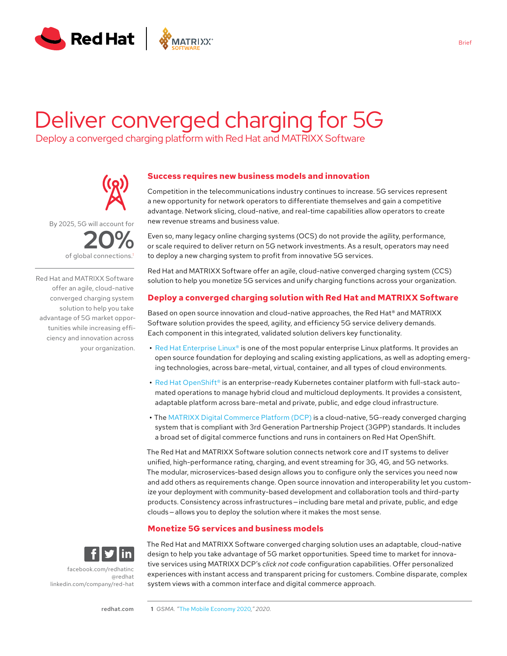

# Deliver converged charging for 5G

Deploy a converged charging platform with Red Hat and MATRIXX Software



By 2025, 5G will account for **20%** of global connections.<sup>1</sup>

Red Hat and MATRIXX Software offer an agile, cloud-native converged charging system solution to help you take advantage of 5G market opportunities while increasing efficiency and innovation across your organization.

# **Success requires new business models and innovation**

Competition in the telecommunications industry continues to increase. 5G services represent a new opportunity for network operators to differentiate themselves and gain a competitive advantage. Network slicing, cloud-native, and real-time capabilities allow operators to create new revenue streams and business value.

Even so, many legacy online charging systems (OCS) do not provide the agility, performance, or scale required to deliver return on 5G network investments. As a result, operators may need to deploy a new charging system to profit from innovative 5G services.

Red Hat and MATRIXX Software offer an agile, cloud-native converged charging system (CCS) solution to help you monetize 5G services and unify charging functions across your organization.

## **Deploy a converged charging solution with Red Hat and MATRIXX Software**

Based on open source innovation and cloud-native approaches, the Red Hat® and MATRIXX Software solution provides the speed, agility, and efficiency 5G service delivery demands. Each component in this integrated, validated solution delivers key functionality.

- **•** [Red Hat Enterprise Linux®](https://www.redhat.com/en/technologies/linux-platforms/enterprise-linux) is one of the most popular enterprise Linux platforms. It provides an open source foundation for deploying and scaling existing applications, as well as adopting emerging technologies, across bare-metal, virtual, container, and all types of cloud environments.
- **•** [Red Hat OpenShift®](https://www.redhat.com/en/technologies/cloud-computing/openshift) is an enterprise-ready Kubernetes container platform with full-stack automated operations to manage hybrid cloud and multicloud deployments. It provides a consistent, adaptable platform across bare-metal and private, public, and edge cloud infrastructure.
- **•** The [MATRIXX Digital Commerce Platform \(DCP\)](https://www.matrixx.com/digital-commerce-platform/) is a cloud-native, 5G-ready converged charging system that is compliant with 3rd Generation Partnership Project (3GPP) standards. It includes a broad set of digital commerce functions and runs in containers on Red Hat OpenShift.

The Red Hat and MATRIXX Software solution connects network core and IT systems to deliver unified, high-performance rating, charging, and event streaming for 3G, 4G, and 5G networks. The modular, microservices-based design allows you to configure only the services you need now and add others as requirements change. Open source innovation and interoperability let you customize your deployment with community-based development and collaboration tools and third-party products. Consistency across infrastructures — including bare metal and private, public, and edge clouds — allows you to deploy the solution where it makes the most sense.

# **Monetize 5G services and business models**



[facebook.com/redhatinc](http://facebook.com/redhatinc

) [@redhat](https://twitter.com/redhatnews) [linkedin.com/company/red-hat](http://linkedin.com/company/red-hat
) The Red Hat and MATRIXX Software converged charging solution uses an adaptable, cloud-native design to help you take advantage of 5G market opportunities. Speed time to market for innovative services using MATRIXX DCP's *click not code* configuration capabilities. Offer personalized experiences with instant access and transparent pricing for customers. Combine disparate, complex system views with a common interface and digital commerce approach.

[redhat.com](http://redhat.com)